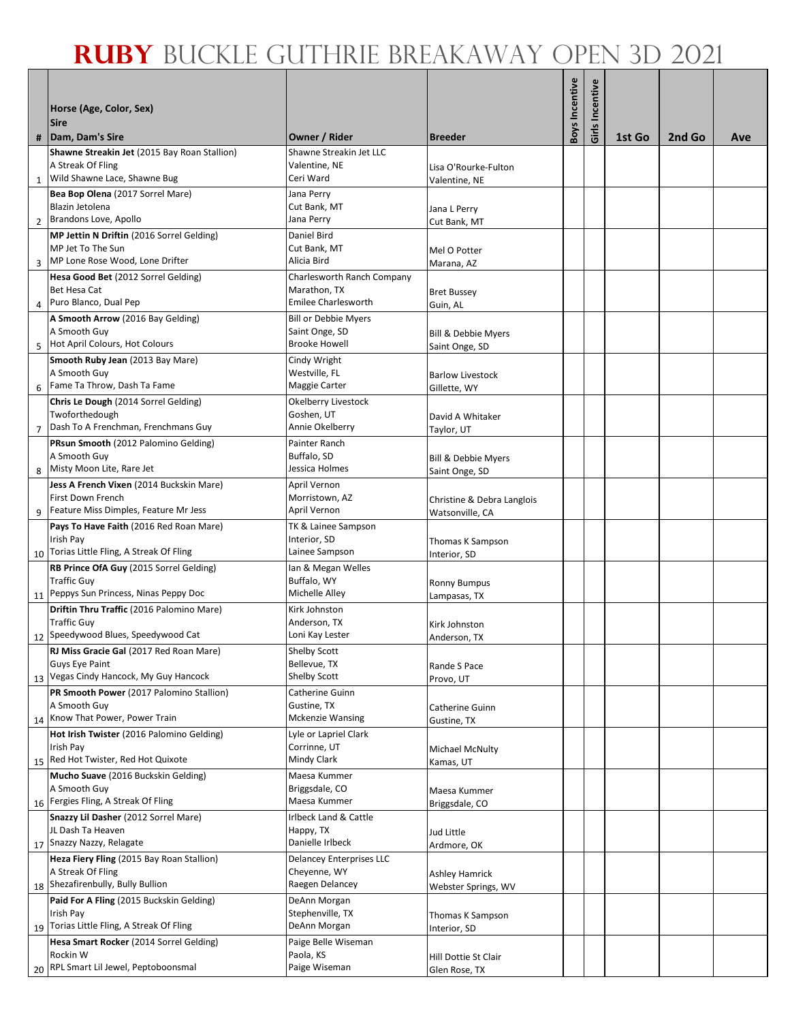|                | Horse (Age, Color, Sex)<br><b>Sire</b>                                |                                            |                                               | <b>Boys Incentive</b> | Girls Incentive |        |        |     |
|----------------|-----------------------------------------------------------------------|--------------------------------------------|-----------------------------------------------|-----------------------|-----------------|--------|--------|-----|
|                | #   Dam, Dam's Sire                                                   | Owner / Rider                              | <b>Breeder</b>                                |                       |                 | 1st Go | 2nd Go | Ave |
|                | Shawne Streakin Jet (2015 Bay Roan Stallion)                          | Shawne Streakin Jet LLC                    |                                               |                       |                 |        |        |     |
|                | A Streak Of Fling                                                     | Valentine, NE                              | Lisa O'Rourke-Fulton                          |                       |                 |        |        |     |
|                | 1 Wild Shawne Lace, Shawne Bug                                        | Ceri Ward                                  | Valentine, NE                                 |                       |                 |        |        |     |
|                | Bea Bop Olena (2017 Sorrel Mare)                                      | Jana Perry                                 |                                               |                       |                 |        |        |     |
| $\overline{2}$ | Blazin Jetolena<br>Brandons Love, Apollo                              | Cut Bank, MT<br>Jana Perry                 | Jana L Perry<br>Cut Bank, MT                  |                       |                 |        |        |     |
|                | MP Jettin N Driftin (2016 Sorrel Gelding)                             | Daniel Bird                                |                                               |                       |                 |        |        |     |
|                | MP Jet To The Sun                                                     | Cut Bank, MT                               | Mel O Potter                                  |                       |                 |        |        |     |
|                | 3 MP Lone Rose Wood, Lone Drifter                                     | Alicia Bird                                | Marana, AZ                                    |                       |                 |        |        |     |
|                | Hesa Good Bet (2012 Sorrel Gelding)                                   | Charlesworth Ranch Company                 |                                               |                       |                 |        |        |     |
|                | <b>Bet Hesa Cat</b><br>4 Puro Blanco, Dual Pep                        | Marathon, TX<br><b>Emilee Charlesworth</b> | <b>Bret Bussey</b>                            |                       |                 |        |        |     |
|                | A Smooth Arrow (2016 Bay Gelding)                                     | <b>Bill or Debbie Myers</b>                | Guin, AL                                      |                       |                 |        |        |     |
|                | A Smooth Guy                                                          | Saint Onge, SD                             | Bill & Debbie Myers                           |                       |                 |        |        |     |
|                | 5 Hot April Colours, Hot Colours                                      | <b>Brooke Howell</b>                       | Saint Onge, SD                                |                       |                 |        |        |     |
|                | Smooth Ruby Jean (2013 Bay Mare)                                      | Cindy Wright                               |                                               |                       |                 |        |        |     |
|                | A Smooth Guy                                                          | Westville, FL                              | <b>Barlow Livestock</b>                       |                       |                 |        |        |     |
|                | 6 Fame Ta Throw, Dash Ta Fame<br>Chris Le Dough (2014 Sorrel Gelding) | Maggie Carter<br>Okelberry Livestock       | Gillette, WY                                  |                       |                 |        |        |     |
|                | Twoforthedough                                                        | Goshen, UT                                 | David A Whitaker                              |                       |                 |        |        |     |
|                | 7 Dash To A Frenchman, Frenchmans Guy                                 | Annie Okelberry                            | Taylor, UT                                    |                       |                 |        |        |     |
|                | PRsun Smooth (2012 Palomino Gelding)                                  | Painter Ranch                              |                                               |                       |                 |        |        |     |
|                | A Smooth Guy                                                          | Buffalo, SD                                | Bill & Debbie Myers                           |                       |                 |        |        |     |
|                | 8 Misty Moon Lite, Rare Jet                                           | Jessica Holmes                             | Saint Onge, SD                                |                       |                 |        |        |     |
|                | Jess A French Vixen (2014 Buckskin Mare)<br>First Down French         | April Vernon<br>Morristown, AZ             |                                               |                       |                 |        |        |     |
|                | 9 Feature Miss Dimples, Feature Mr Jess                               | April Vernon                               | Christine & Debra Langlois<br>Watsonville, CA |                       |                 |        |        |     |
|                | Pays To Have Faith (2016 Red Roan Mare)                               | TK & Lainee Sampson                        |                                               |                       |                 |        |        |     |
|                | Irish Pay                                                             | Interior, SD                               | Thomas K Sampson                              |                       |                 |        |        |     |
|                | 10 Torias Little Fling, A Streak Of Fling                             | Lainee Sampson                             | Interior, SD                                  |                       |                 |        |        |     |
|                | RB Prince OfA Guy (2015 Sorrel Gelding)<br><b>Traffic Guy</b>         | Ian & Megan Welles<br>Buffalo, WY          |                                               |                       |                 |        |        |     |
|                | 11 Peppys Sun Princess, Ninas Peppy Doc                               | Michelle Alley                             | <b>Ronny Bumpus</b><br>Lampasas, TX           |                       |                 |        |        |     |
|                | Driftin Thru Traffic (2016 Palomino Mare)                             | Kirk Johnston                              |                                               |                       |                 |        |        |     |
|                | <b>Traffic Guy</b>                                                    | Anderson, TX                               | Kirk Johnston                                 |                       |                 |        |        |     |
|                | 12 Speedywood Blues, Speedywood Cat                                   | Loni Kay Lester                            | Anderson, TX                                  |                       |                 |        |        |     |
|                | RJ Miss Gracie Gal (2017 Red Roan Mare)<br><b>Guys Eye Paint</b>      | <b>Shelby Scott</b><br>Bellevue, TX        |                                               |                       |                 |        |        |     |
|                | 13 Vegas Cindy Hancock, My Guy Hancock                                | <b>Shelby Scott</b>                        | Rande S Pace<br>Provo, UT                     |                       |                 |        |        |     |
|                | PR Smooth Power (2017 Palomino Stallion)                              | Catherine Guinn                            |                                               |                       |                 |        |        |     |
|                | A Smooth Guy                                                          | Gustine, TX                                | Catherine Guinn                               |                       |                 |        |        |     |
|                | 14 Know That Power, Power Train                                       | <b>Mckenzie Wansing</b>                    | Gustine, TX                                   |                       |                 |        |        |     |
|                | Hot Irish Twister (2016 Palomino Gelding)<br>Irish Pay                | Lyle or Lapriel Clark<br>Corrinne, UT      |                                               |                       |                 |        |        |     |
|                | 15 Red Hot Twister, Red Hot Quixote                                   | Mindy Clark                                | <b>Michael McNulty</b><br>Kamas, UT           |                       |                 |        |        |     |
|                | Mucho Suave (2016 Buckskin Gelding)                                   | Maesa Kummer                               |                                               |                       |                 |        |        |     |
|                | A Smooth Guy                                                          | Briggsdale, CO                             | Maesa Kummer                                  |                       |                 |        |        |     |
|                | 16 Fergies Fling, A Streak Of Fling                                   | Maesa Kummer                               | Briggsdale, CO                                |                       |                 |        |        |     |
|                | Snazzy Lil Dasher (2012 Sorrel Mare)                                  | Irlbeck Land & Cattle                      |                                               |                       |                 |        |        |     |
|                | JL Dash Ta Heaven<br>17 Snazzy Nazzy, Relagate                        | Happy, TX<br>Danielle Irlbeck              | Jud Little<br>Ardmore, OK                     |                       |                 |        |        |     |
|                | Heza Fiery Fling (2015 Bay Roan Stallion)                             | <b>Delancey Enterprises LLC</b>            |                                               |                       |                 |        |        |     |
|                | A Streak Of Fling                                                     | Cheyenne, WY                               | <b>Ashley Hamrick</b>                         |                       |                 |        |        |     |
|                | 18 Shezafirenbully, Bully Bullion                                     | Raegen Delancey                            | Webster Springs, WV                           |                       |                 |        |        |     |
|                | Paid For A Fling (2015 Buckskin Gelding)                              | DeAnn Morgan                               |                                               |                       |                 |        |        |     |
|                | Irish Pay<br>19 Torias Little Fling, A Streak Of Fling                | Stephenville, TX<br>DeAnn Morgan           | Thomas K Sampson<br>Interior, SD              |                       |                 |        |        |     |
|                | Hesa Smart Rocker (2014 Sorrel Gelding)                               | Paige Belle Wiseman                        |                                               |                       |                 |        |        |     |
|                | Rockin W                                                              | Paola, KS                                  | Hill Dottie St Clair                          |                       |                 |        |        |     |
|                | 20 RPL Smart Lil Jewel, Peptoboonsmal                                 | Paige Wiseman                              | Glen Rose, TX                                 |                       |                 |        |        |     |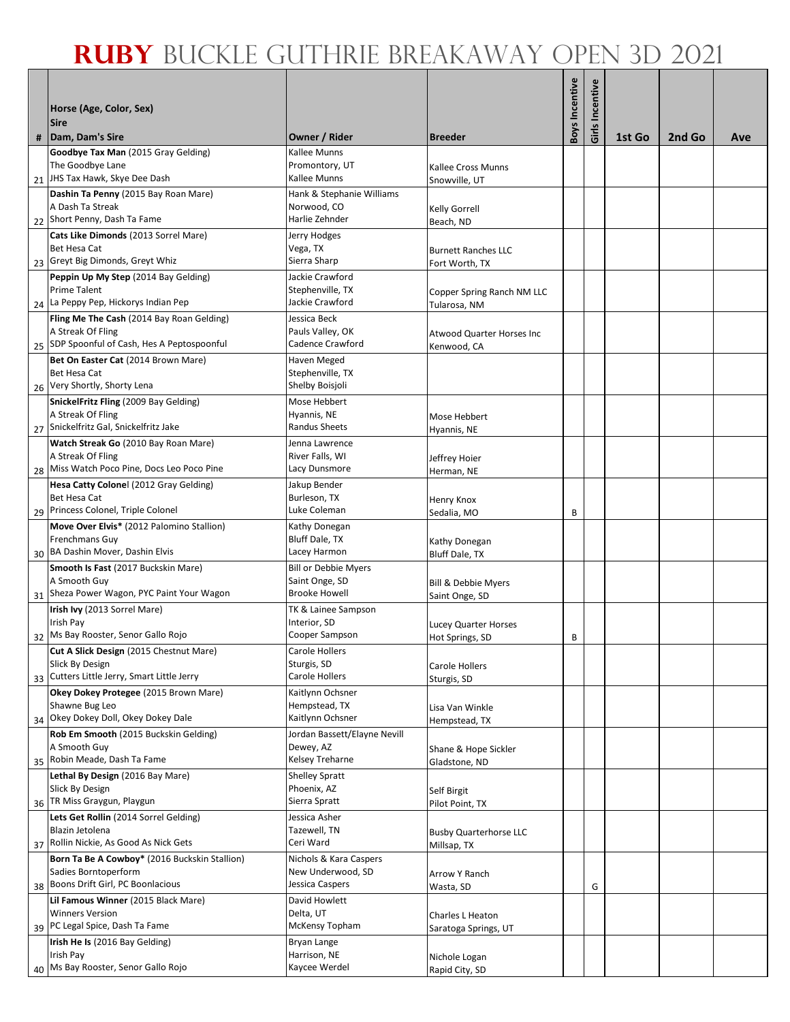| Horse (Age, Color, Sex)                                                                 |                                               |                                            | <b>Boys Incentive</b> | Girls Incentive |        |        |     |
|-----------------------------------------------------------------------------------------|-----------------------------------------------|--------------------------------------------|-----------------------|-----------------|--------|--------|-----|
| <b>Sire</b>                                                                             |                                               |                                            |                       |                 |        |        |     |
| #   Dam, Dam's Sire<br>Goodbye Tax Man (2015 Gray Gelding)                              | Owner / Rider<br>Kallee Munns                 | <b>Breeder</b>                             |                       |                 | 1st Go | 2nd Go | Ave |
| The Goodbye Lane                                                                        | Promontory, UT                                | Kallee Cross Munns                         |                       |                 |        |        |     |
| 21 JHS Tax Hawk, Skye Dee Dash                                                          | Kallee Munns                                  | Snowville, UT                              |                       |                 |        |        |     |
| Dashin Ta Penny (2015 Bay Roan Mare)                                                    | Hank & Stephanie Williams                     |                                            |                       |                 |        |        |     |
| A Dash Ta Streak<br>22 Short Penny, Dash Ta Fame                                        | Norwood, CO<br>Harlie Zehnder                 | <b>Kelly Gorrell</b>                       |                       |                 |        |        |     |
| Cats Like Dimonds (2013 Sorrel Mare)                                                    | Jerry Hodges                                  | Beach, ND                                  |                       |                 |        |        |     |
| Bet Hesa Cat                                                                            | Vega, TX                                      | <b>Burnett Ranches LLC</b>                 |                       |                 |        |        |     |
| 23 Greyt Big Dimonds, Greyt Whiz                                                        | Sierra Sharp                                  | Fort Worth, TX                             |                       |                 |        |        |     |
| Peppin Up My Step (2014 Bay Gelding)<br><b>Prime Talent</b>                             | Jackie Crawford<br>Stephenville, TX           |                                            |                       |                 |        |        |     |
| 24 La Peppy Pep, Hickorys Indian Pep                                                    | Jackie Crawford                               | Copper Spring Ranch NM LLC<br>Tularosa, NM |                       |                 |        |        |     |
| Fling Me The Cash (2014 Bay Roan Gelding)                                               | Jessica Beck                                  |                                            |                       |                 |        |        |     |
| A Streak Of Fling                                                                       | Pauls Valley, OK                              | <b>Atwood Quarter Horses Inc</b>           |                       |                 |        |        |     |
| 25 SDP Spoonful of Cash, Hes A Peptospoonful                                            | Cadence Crawford                              | Kenwood, CA                                |                       |                 |        |        |     |
| Bet On Easter Cat (2014 Brown Mare)<br>Bet Hesa Cat                                     | Haven Meged<br>Stephenville, TX               |                                            |                       |                 |        |        |     |
| 26 Very Shortly, Shorty Lena                                                            | Shelby Boisjoli                               |                                            |                       |                 |        |        |     |
| SnickelFritz Fling (2009 Bay Gelding)                                                   | Mose Hebbert                                  |                                            |                       |                 |        |        |     |
| A Streak Of Fling                                                                       | Hyannis, NE                                   | Mose Hebbert                               |                       |                 |        |        |     |
| 27 Snickelfritz Gal, Snickelfritz Jake<br>Watch Streak Go (2010 Bay Roan Mare)          | Randus Sheets<br>Jenna Lawrence               | Hyannis, NE                                |                       |                 |        |        |     |
| A Streak Of Fling                                                                       | River Falls, WI                               | Jeffrey Hoier                              |                       |                 |        |        |     |
| 28 Miss Watch Poco Pine, Docs Leo Poco Pine                                             | Lacy Dunsmore                                 | Herman, NE                                 |                       |                 |        |        |     |
| Hesa Catty Colonel (2012 Gray Gelding)                                                  | Jakup Bender                                  |                                            |                       |                 |        |        |     |
| Bet Hesa Cat<br>29 Princess Colonel, Triple Colonel                                     | Burleson, TX<br>Luke Coleman                  | <b>Henry Knox</b>                          |                       |                 |        |        |     |
| Move Over Elvis* (2012 Palomino Stallion)                                               | Kathy Donegan                                 | Sedalia, MO                                | B                     |                 |        |        |     |
| <b>Frenchmans Guy</b>                                                                   | <b>Bluff Dale, TX</b>                         | Kathy Donegan                              |                       |                 |        |        |     |
| 30 BA Dashin Mover, Dashin Elvis                                                        | Lacey Harmon                                  | Bluff Dale, TX                             |                       |                 |        |        |     |
| Smooth Is Fast (2017 Buckskin Mare)                                                     | <b>Bill or Debbie Myers</b><br>Saint Onge, SD |                                            |                       |                 |        |        |     |
| A Smooth Guy<br>31 Sheza Power Wagon, PYC Paint Your Wagon                              | <b>Brooke Howell</b>                          | Bill & Debbie Myers<br>Saint Onge, SD      |                       |                 |        |        |     |
| Irish Ivy (2013 Sorrel Mare)                                                            | TK & Lainee Sampson                           |                                            |                       |                 |        |        |     |
| Irish Pay                                                                               | Interior, SD                                  | Lucey Quarter Horses                       |                       |                 |        |        |     |
| 32 Ms Bay Rooster, Senor Gallo Rojo                                                     | Cooper Sampson                                | Hot Springs, SD                            | B                     |                 |        |        |     |
| Cut A Slick Design (2015 Chestnut Mare)<br>Slick By Design                              | Carole Hollers<br>Sturgis, SD                 | <b>Carole Hollers</b>                      |                       |                 |        |        |     |
| 33 Cutters Little Jerry, Smart Little Jerry                                             | Carole Hollers                                | Sturgis, SD                                |                       |                 |        |        |     |
| Okey Dokey Protegee (2015 Brown Mare)                                                   | Kaitlynn Ochsner                              |                                            |                       |                 |        |        |     |
| Shawne Bug Leo<br>34 Okey Dokey Doll, Okey Dokey Dale                                   | Hempstead, TX<br>Kaitlynn Ochsner             | Lisa Van Winkle<br>Hempstead, TX           |                       |                 |        |        |     |
| Rob Em Smooth (2015 Buckskin Gelding)                                                   | Jordan Bassett/Elayne Nevill                  |                                            |                       |                 |        |        |     |
| A Smooth Guy                                                                            | Dewey, AZ                                     | Shane & Hope Sickler                       |                       |                 |        |        |     |
| 35 Robin Meade, Dash Ta Fame                                                            | Kelsey Treharne                               | Gladstone, ND                              |                       |                 |        |        |     |
| Lethal By Design (2016 Bay Mare)<br>Slick By Design                                     | <b>Shelley Spratt</b><br>Phoenix, AZ          |                                            |                       |                 |        |        |     |
| 36 TR Miss Graygun, Playgun                                                             | Sierra Spratt                                 | Self Birgit<br>Pilot Point, TX             |                       |                 |        |        |     |
| Lets Get Rollin (2014 Sorrel Gelding)                                                   | Jessica Asher                                 |                                            |                       |                 |        |        |     |
| Blazin Jetolena                                                                         | Tazewell, TN                                  | <b>Busby Quarterhorse LLC</b>              |                       |                 |        |        |     |
| 37 Rollin Nickie, As Good As Nick Gets<br>Born Ta Be A Cowboy* (2016 Buckskin Stallion) | Ceri Ward<br>Nichols & Kara Caspers           | Millsap, TX                                |                       |                 |        |        |     |
| Sadies Borntoperform                                                                    | New Underwood, SD                             | Arrow Y Ranch                              |                       |                 |        |        |     |
| 38 Boons Drift Girl, PC Boonlacious                                                     | Jessica Caspers                               | Wasta, SD                                  |                       | G               |        |        |     |
| Lil Famous Winner (2015 Black Mare)                                                     | David Howlett                                 |                                            |                       |                 |        |        |     |
| <b>Winners Version</b><br>39 PC Legal Spice, Dash Ta Fame                               | Delta, UT<br>McKensy Topham                   | Charles L Heaton                           |                       |                 |        |        |     |
| Irish He Is (2016 Bay Gelding)                                                          | Bryan Lange                                   | Saratoga Springs, UT                       |                       |                 |        |        |     |
| Irish Pay                                                                               | Harrison, NE                                  | Nichole Logan                              |                       |                 |        |        |     |
| 40 Ms Bay Rooster, Senor Gallo Rojo                                                     | Kaycee Werdel                                 | Rapid City, SD                             |                       |                 |        |        |     |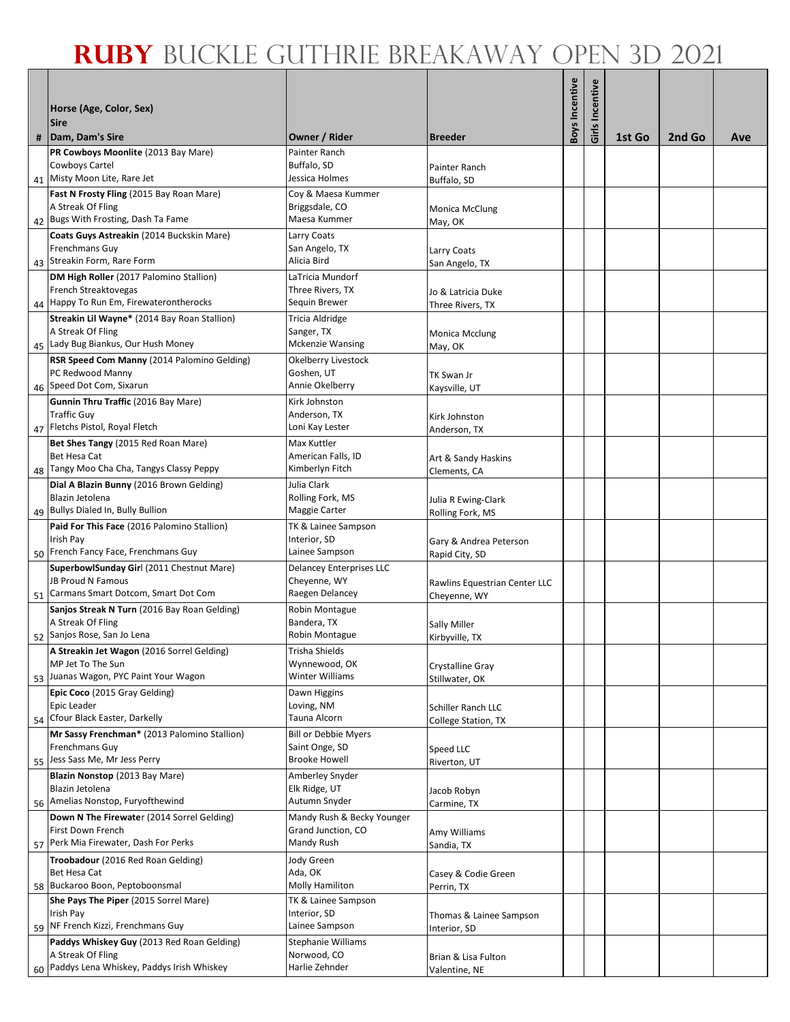|   |                                                                                 |                                             |                                          | Boys Incentive | Girls Incentive |        |        |     |
|---|---------------------------------------------------------------------------------|---------------------------------------------|------------------------------------------|----------------|-----------------|--------|--------|-----|
|   | Horse (Age, Color, Sex)                                                         |                                             |                                          |                |                 |        |        |     |
| # | <b>Sire</b><br>Dam, Dam's Sire                                                  | Owner / Rider                               | <b>Breeder</b>                           |                |                 | 1st Go | 2nd Go | Ave |
|   | PR Cowboys Moonlite (2013 Bay Mare)                                             | Painter Ranch                               |                                          |                |                 |        |        |     |
|   | Cowboys Cartel                                                                  | Buffalo, SD                                 | Painter Ranch                            |                |                 |        |        |     |
|   | 41 Misty Moon Lite, Rare Jet                                                    | Jessica Holmes                              | Buffalo, SD                              |                |                 |        |        |     |
|   | Fast N Frosty Fling (2015 Bay Roan Mare)<br>A Streak Of Fling                   | Coy & Maesa Kummer<br>Briggsdale, CO        | Monica McClung                           |                |                 |        |        |     |
|   | 42 Bugs With Frosting, Dash Ta Fame                                             | Maesa Kummer                                | May, OK                                  |                |                 |        |        |     |
|   | Coats Guys Astreakin (2014 Buckskin Mare)                                       | Larry Coats                                 |                                          |                |                 |        |        |     |
|   | <b>Frenchmans Guy</b><br>43 Streakin Form, Rare Form                            | San Angelo, TX<br>Alicia Bird               | Larry Coats                              |                |                 |        |        |     |
|   | DM High Roller (2017 Palomino Stallion)                                         | LaTricia Mundorf                            | San Angelo, TX                           |                |                 |        |        |     |
|   | French Streaktovegas                                                            | Three Rivers, TX                            | Jo & Latricia Duke                       |                |                 |        |        |     |
|   | 44 Happy To Run Em, Firewaterontherocks                                         | Sequin Brewer                               | Three Rivers, TX                         |                |                 |        |        |     |
|   | Streakin Lil Wayne* (2014 Bay Roan Stallion)<br>A Streak Of Fling               | Tricia Aldridge<br>Sanger, TX               |                                          |                |                 |        |        |     |
|   | 45 Lady Bug Biankus, Our Hush Money                                             | <b>Mckenzie Wansing</b>                     | Monica Mcclung<br>May, OK                |                |                 |        |        |     |
|   | RSR Speed Com Manny (2014 Palomino Gelding)                                     | Okelberry Livestock                         |                                          |                |                 |        |        |     |
|   | PC Redwood Manny                                                                | Goshen, UT                                  | TK Swan Jr                               |                |                 |        |        |     |
|   | 46 Speed Dot Com, Sixarun<br>Gunnin Thru Traffic (2016 Bay Mare)                | Annie Okelberry<br>Kirk Johnston            | Kaysville, UT                            |                |                 |        |        |     |
|   | <b>Traffic Guy</b>                                                              | Anderson, TX                                | Kirk Johnston                            |                |                 |        |        |     |
|   | 47 Fletchs Pistol, Royal Fletch                                                 | Loni Kay Lester                             | Anderson, TX                             |                |                 |        |        |     |
|   | Bet Shes Tangy (2015 Red Roan Mare)                                             | Max Kuttler                                 |                                          |                |                 |        |        |     |
|   | <b>Bet Hesa Cat</b><br>48 Tangy Moo Cha Cha, Tangys Classy Peppy                | American Falls, ID<br>Kimberlyn Fitch       | Art & Sandy Haskins                      |                |                 |        |        |     |
|   | Dial A Blazin Bunny (2016 Brown Gelding)                                        | Julia Clark                                 | Clements, CA                             |                |                 |        |        |     |
|   | Blazin Jetolena                                                                 | Rolling Fork, MS                            | Julia R Ewing-Clark                      |                |                 |        |        |     |
|   | 49 Bullys Dialed In, Bully Bullion                                              | Maggie Carter                               | Rolling Fork, MS                         |                |                 |        |        |     |
|   | Paid For This Face (2016 Palomino Stallion)<br>Irish Pay                        | TK & Lainee Sampson<br>Interior, SD         |                                          |                |                 |        |        |     |
|   | 50 French Fancy Face, Frenchmans Guy                                            | Lainee Sampson                              | Gary & Andrea Peterson<br>Rapid City, SD |                |                 |        |        |     |
|   | SuperbowlSunday Girl (2011 Chestnut Mare)                                       | <b>Delancey Enterprises LLC</b>             |                                          |                |                 |        |        |     |
|   | <b>JB Proud N Famous</b><br>51 Carmans Smart Dotcom, Smart Dot Com              | Cheyenne, WY<br>Raegen Delancey             | Rawlins Equestrian Center LLC            |                |                 |        |        |     |
|   | Sanjos Streak N Turn (2016 Bay Roan Gelding)                                    | Robin Montague                              | Cheyenne, WY                             |                |                 |        |        |     |
|   | A Streak Of Fling                                                               | Bandera, TX                                 | Sally Miller                             |                |                 |        |        |     |
|   | 52 Sanjos Rose, San Jo Lena                                                     | Robin Montague                              | Kirbyville, TX                           |                |                 |        |        |     |
|   | A Streakin Jet Wagon (2016 Sorrel Gelding)<br>MP Jet To The Sun                 | <b>Trisha Shields</b><br>Wynnewood, OK      |                                          |                |                 |        |        |     |
|   | 53 Juanas Wagon, PYC Paint Your Wagon                                           | Winter Williams                             | Crystalline Gray<br>Stillwater, OK       |                |                 |        |        |     |
|   | Epic Coco (2015 Gray Gelding)                                                   | Dawn Higgins                                |                                          |                |                 |        |        |     |
|   | Epic Leader                                                                     | Loving, NM                                  | Schiller Ranch LLC                       |                |                 |        |        |     |
|   | 54 Cfour Black Easter, Darkelly<br>Mr Sassy Frenchman* (2013 Palomino Stallion) | Tauna Alcorn<br><b>Bill or Debbie Myers</b> | <b>College Station, TX</b>               |                |                 |        |        |     |
|   | <b>Frenchmans Guy</b>                                                           | Saint Onge, SD                              | Speed LLC                                |                |                 |        |        |     |
|   | 55 Jess Sass Me, Mr Jess Perry                                                  | <b>Brooke Howell</b>                        | Riverton, UT                             |                |                 |        |        |     |
|   | Blazin Nonstop (2013 Bay Mare)<br>Blazin Jetolena                               | Amberley Snyder<br>Elk Ridge, UT            |                                          |                |                 |        |        |     |
|   | 56 Amelias Nonstop, Furyofthewind                                               | Autumn Snyder                               | Jacob Robyn<br>Carmine, TX               |                |                 |        |        |     |
|   | Down N The Firewater (2014 Sorrel Gelding)                                      | Mandy Rush & Becky Younger                  |                                          |                |                 |        |        |     |
|   | First Down French                                                               | Grand Junction, CO                          | Amy Williams                             |                |                 |        |        |     |
|   | 57 Perk Mia Firewater, Dash For Perks                                           | Mandy Rush                                  | Sandia, TX                               |                |                 |        |        |     |
|   | Troobadour (2016 Red Roan Gelding)<br><b>Bet Hesa Cat</b>                       | Jody Green<br>Ada, OK                       | Casey & Codie Green                      |                |                 |        |        |     |
|   | 58 Buckaroo Boon, Peptoboonsmal                                                 | Molly Hamiliton                             | Perrin, TX                               |                |                 |        |        |     |
|   | She Pays The Piper (2015 Sorrel Mare)                                           | TK & Lainee Sampson                         |                                          |                |                 |        |        |     |
|   | Irish Pay<br>59 NF French Kizzi, Frenchmans Guy                                 | Interior, SD<br>Lainee Sampson              | Thomas & Lainee Sampson<br>Interior, SD  |                |                 |        |        |     |
|   | Paddys Whiskey Guy (2013 Red Roan Gelding)                                      | <b>Stephanie Williams</b>                   |                                          |                |                 |        |        |     |
|   | A Streak Of Fling                                                               | Norwood, CO                                 | Brian & Lisa Fulton                      |                |                 |        |        |     |
|   | 60 Paddys Lena Whiskey, Paddys Irish Whiskey                                    | Harlie Zehnder                              | Valentine, NE                            |                |                 |        |        |     |